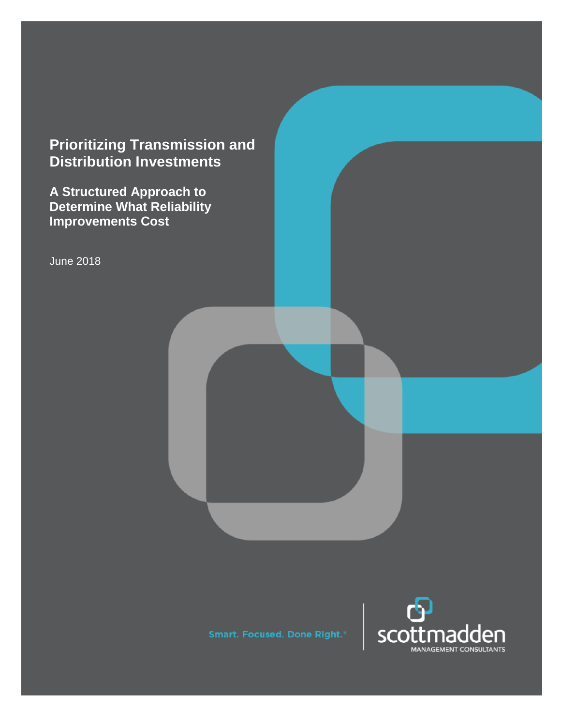# **Prioritizing Transmission and Distribution Investments**

**A Structured Approach to Determine What Reliability Improvements Cost**

June 2018

Smart. Focused. Done Right.<sup>8</sup>

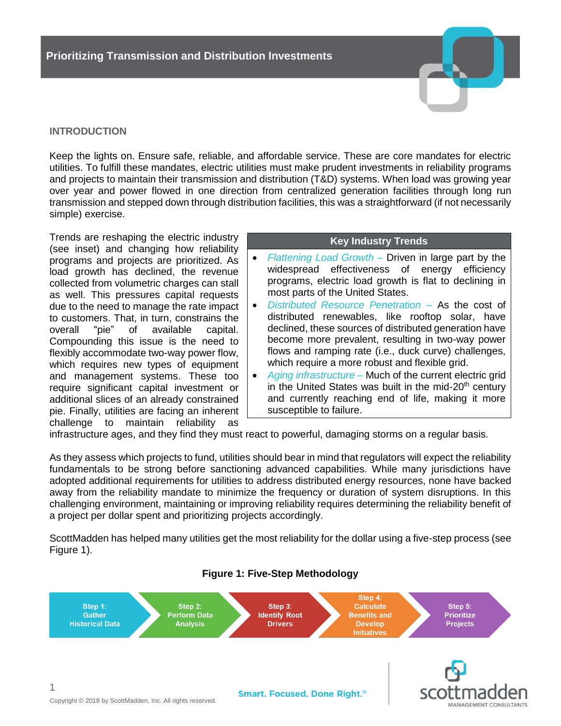# **INTRODUCTION**

Keep the lights on. Ensure safe, reliable, and affordable service. These are core mandates for electric utilities. To fulfill these mandates, electric utilities must make prudent investments in reliability programs and projects to maintain their transmission and distribution (T&D) systems. When load was growing year over year and power flowed in one direction from centralized generation facilities through long run transmission and stepped down through distribution facilities, this was a straightforward (if not necessarily simple) exercise.

Trends are reshaping the electric industry (see inset) and changing how reliability programs and projects are prioritized. As load growth has declined, the revenue collected from volumetric charges can stall as well. This pressures capital requests due to the need to manage the rate impact to customers. That, in turn, constrains the overall "pie" of available capital. Compounding this issue is the need to flexibly accommodate two-way power flow, which requires new types of equipment and management systems. These too require significant capital investment or additional slices of an already constrained pie. Finally, utilities are facing an inherent challenge to maintain reliability as

#### **Key Industry Trends**

- *Flattening Load Growth* Driven in large part by the widespread effectiveness of energy efficiency programs, electric load growth is flat to declining in most parts of the United States.
- *Distributed Resource Penetration*  As the cost of distributed renewables, like rooftop solar, have declined, these sources of distributed generation have become more prevalent, resulting in two-way power flows and ramping rate (i.e., duck curve) challenges, which require a more robust and flexible grid.
- *Aging infrastructure* Much of the current electric grid in the United States was built in the mid- $20<sup>th</sup>$  century and currently reaching end of life, making it more susceptible to failure.

infrastructure ages, and they find they must react to powerful, damaging storms on a regular basis.

As they assess which projects to fund, utilities should bear in mind that regulators will expect the reliability fundamentals to be strong before sanctioning advanced capabilities. While many jurisdictions have adopted additional requirements for utilities to address distributed energy resources, none have backed away from the reliability mandate to minimize the frequency or duration of system disruptions. In this challenging environment, maintaining or improving reliability requires determining the reliability benefit of a project per dollar spent and prioritizing projects accordingly.

ScottMadden has helped many utilities get the most reliability for the dollar using a five-step process (see Figure 1).



# **Figure 1: Five-Step Methodology**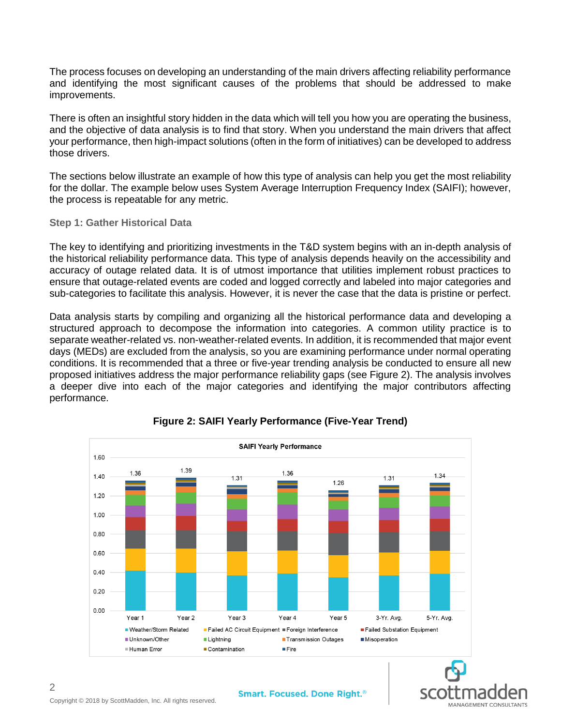The process focuses on developing an understanding of the main drivers affecting reliability performance and identifying the most significant causes of the problems that should be addressed to make improvements.

There is often an insightful story hidden in the data which will tell you how you are operating the business, and the objective of data analysis is to find that story. When you understand the main drivers that affect your performance, then high-impact solutions (often in the form of initiatives) can be developed to address those drivers.

The sections below illustrate an example of how this type of analysis can help you get the most reliability for the dollar. The example below uses System Average Interruption Frequency Index (SAIFI); however, the process is repeatable for any metric.

#### **Step 1: Gather Historical Data**

The key to identifying and prioritizing investments in the T&D system begins with an in-depth analysis of the historical reliability performance data. This type of analysis depends heavily on the accessibility and accuracy of outage related data. It is of utmost importance that utilities implement robust practices to ensure that outage-related events are coded and logged correctly and labeled into major categories and sub-categories to facilitate this analysis. However, it is never the case that the data is pristine or perfect.

Data analysis starts by compiling and organizing all the historical performance data and developing a structured approach to decompose the information into categories. A common utility practice is to separate weather-related vs. non-weather-related events. In addition, it is recommended that major event days (MEDs) are excluded from the analysis, so you are examining performance under normal operating conditions. It is recommended that a three or five-year trending analysis be conducted to ensure all new proposed initiatives address the major performance reliability gaps (see Figure 2). The analysis involves a deeper dive into each of the major categories and identifying the major contributors affecting performance.



# **Figure 2: SAIFI Yearly Performance (Five-Year Trend)**

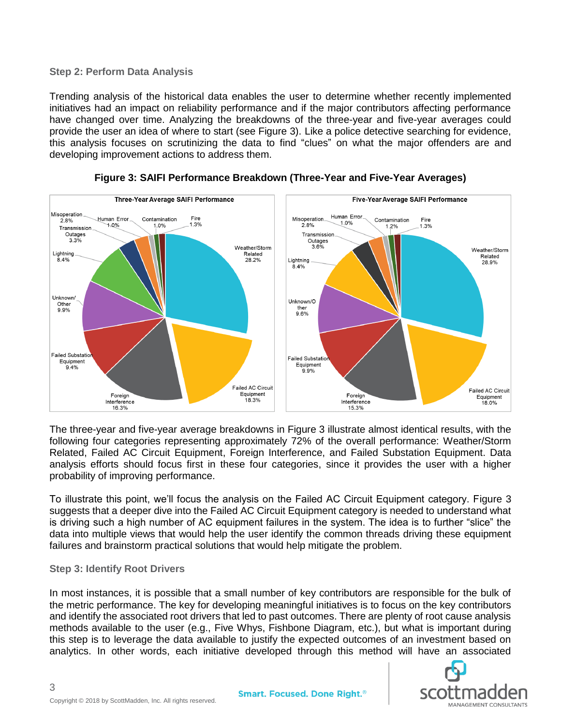### **Step 2: Perform Data Analysis**

Trending analysis of the historical data enables the user to determine whether recently implemented initiatives had an impact on reliability performance and if the major contributors affecting performance have changed over time. Analyzing the breakdowns of the three-year and five-year averages could provide the user an idea of where to start (see Figure 3). Like a police detective searching for evidence, this analysis focuses on scrutinizing the data to find "clues" on what the major offenders are and developing improvement actions to address them.



**Figure 3: SAIFI Performance Breakdown (Three-Year and Five-Year Averages)**

The three-year and five-year average breakdowns in Figure 3 illustrate almost identical results, with the following four categories representing approximately 72% of the overall performance: Weather/Storm Related, Failed AC Circuit Equipment, Foreign Interference, and Failed Substation Equipment. Data analysis efforts should focus first in these four categories, since it provides the user with a higher probability of improving performance.

To illustrate this point, we'll focus the analysis on the Failed AC Circuit Equipment category. Figure 3 suggests that a deeper dive into the Failed AC Circuit Equipment category is needed to understand what is driving such a high number of AC equipment failures in the system. The idea is to further "slice" the data into multiple views that would help the user identify the common threads driving these equipment failures and brainstorm practical solutions that would help mitigate the problem.

#### **Step 3: Identify Root Drivers**

In most instances, it is possible that a small number of key contributors are responsible for the bulk of the metric performance. The key for developing meaningful initiatives is to focus on the key contributors and identify the associated root drivers that led to past outcomes. There are plenty of root cause analysis methods available to the user (e.g., Five Whys, Fishbone Diagram, etc.), but what is important during this step is to leverage the data available to justify the expected outcomes of an investment based on analytics. In other words, each initiative developed through this method will have an associated

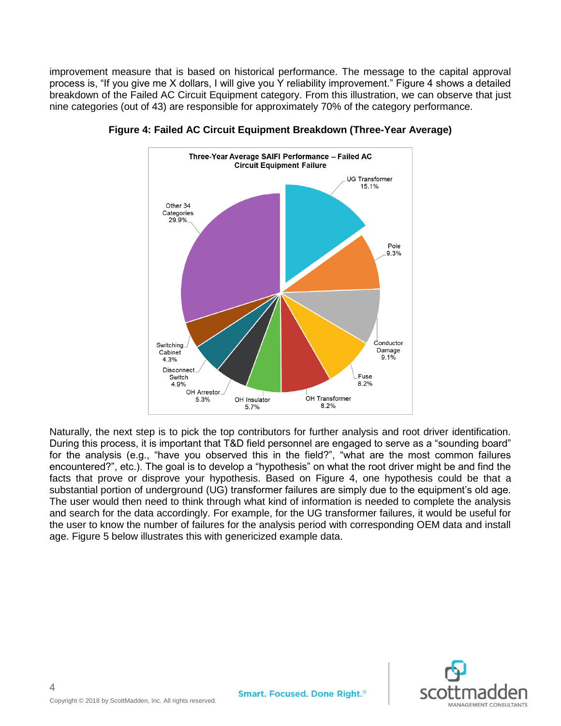improvement measure that is based on historical performance. The message to the capital approval process is, "If you give me X dollars, I will give you Y reliability improvement." Figure 4 shows a detailed breakdown of the Failed AC Circuit Equipment category. From this illustration, we can observe that just nine categories (out of 43) are responsible for approximately 70% of the category performance.



**Figure 4: Failed AC Circuit Equipment Breakdown (Three-Year Average)**

Naturally, the next step is to pick the top contributors for further analysis and root driver identification. During this process, it is important that T&D field personnel are engaged to serve as a "sounding board" for the analysis (e.g., "have you observed this in the field?", "what are the most common failures encountered?", etc.). The goal is to develop a "hypothesis" on what the root driver might be and find the facts that prove or disprove your hypothesis. Based on Figure 4, one hypothesis could be that a substantial portion of underground (UG) transformer failures are simply due to the equipment's old age. The user would then need to think through what kind of information is needed to complete the analysis and search for the data accordingly. For example, for the UG transformer failures, it would be useful for the user to know the number of failures for the analysis period with corresponding OEM data and install age. Figure 5 below illustrates this with genericized example data.

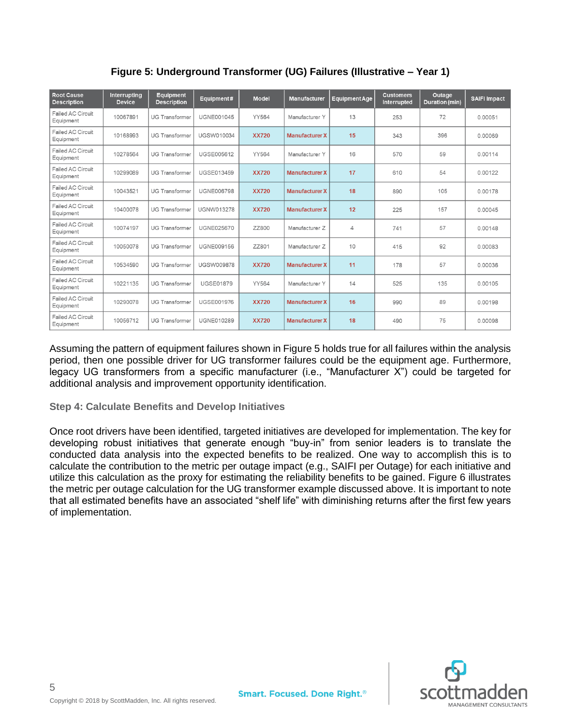| <b>Root Cause</b><br><b>Description</b> | Interrupting<br><b>Device</b> | <b>Equipment</b><br><b>Description</b> | Equipment#        | <b>Model</b> | <b>Manufacturer</b>                | <b>Equipment Age</b> | <b>Customers</b><br>Interrupted | Outage<br><b>Duration (min)</b> | <b>SAIFI Impact</b> |
|-----------------------------------------|-------------------------------|----------------------------------------|-------------------|--------------|------------------------------------|----------------------|---------------------------------|---------------------------------|---------------------|
| Failed AC Circuit<br>Equipment          | 10067891                      | <b>UG Transformer</b>                  | <b>UGNE001045</b> | YY564        | Manufacturer Y                     | 13                   | 253                             | 72                              | 0.00051             |
| Failed AC Circuit<br>Equipment          | 10168993                      | <b>UG Transformer</b>                  | <b>UGSW010034</b> | <b>XX720</b> | 15<br><b>Manufacturer X</b>        |                      | 343                             | 396                             | 0.00069             |
| Failed AC Circuit<br>Equipment          | 10278564                      | <b>UG Transformer</b>                  | <b>UGSE005612</b> | YY564        | Manufacturer Y                     | 59<br>16<br>570      |                                 |                                 | 0.00114             |
| Failed AC Circuit<br>Equipment          | 10299089                      | <b>UG Transformer</b>                  | <b>UGSE013459</b> | <b>XX720</b> | 17<br>610<br><b>Manufacturer X</b> |                      | 54                              | 0.00122                         |                     |
| Failed AC Circuit<br>Equipment          | 10043521                      | <b>UG Transformer</b>                  | <b>UGNE006798</b> | <b>XX720</b> | <b>Manufacturer X</b>              | 18                   | 890                             | 105                             | 0.00178             |
| Failed AC Circuit<br>Equipment          | 10400078                      | <b>UG Transformer</b>                  | <b>UGNW013278</b> | <b>XX720</b> | <b>Manufacturer X</b>              | 12                   | 225                             | 157                             | 0.00045             |
| Failed AC Circuit<br>Equipment          | 10074197                      | <b>UG Transformer</b>                  | <b>UGNE025670</b> | ZZ800        | Manufacturer Z                     | 4                    | 741                             | 57                              | 0.00148             |
| Failed AC Circuit<br>Equipment          | 10050078                      | <b>UG Transformer</b>                  | <b>UGNE009156</b> | ZZ801        | Manufacturer Z                     | 10                   | 415                             | 92                              | 0.00083             |
| Failed AC Circuit<br>Equipment          | 10534590                      | <b>UG Transformer</b>                  | <b>UGSW009878</b> | <b>XX720</b> | <b>Manufacturer X</b>              | 11                   | 178                             | 57                              | 0.00036             |
| Failed AC Circuit<br>Equipment          | 10221135                      | <b>UG Transformer</b>                  | <b>UGSE01879</b>  | YY564        | Manufacturer Y                     | 14                   | 525                             | 135                             | 0.00105             |
| Failed AC Circuit<br>Equipment          | 10290078                      | <b>UG Transformer</b>                  | <b>UGSE001976</b> | <b>XX720</b> | <b>Manufacturer X</b>              | 16                   | 990                             | 89                              | 0.00198             |
| Failed AC Circuit<br>Equipment          | 10056712                      | <b>UG Transformer</b>                  | <b>UGNE010289</b> | <b>XX720</b> | <b>Manufacturer X</b>              | 18                   | 490                             | 75                              | 0.00098             |

**Figure 5: Underground Transformer (UG) Failures (Illustrative – Year 1)**

Assuming the pattern of equipment failures shown in Figure 5 holds true for all failures within the analysis period, then one possible driver for UG transformer failures could be the equipment age. Furthermore, legacy UG transformers from a specific manufacturer (i.e., "Manufacturer X") could be targeted for additional analysis and improvement opportunity identification.

# **Step 4: Calculate Benefits and Develop Initiatives**

Once root drivers have been identified, targeted initiatives are developed for implementation. The key for developing robust initiatives that generate enough "buy-in" from senior leaders is to translate the conducted data analysis into the expected benefits to be realized. One way to accomplish this is to calculate the contribution to the metric per outage impact (e.g., SAIFI per Outage) for each initiative and utilize this calculation as the proxy for estimating the reliability benefits to be gained. Figure 6 illustrates the metric per outage calculation for the UG transformer example discussed above. It is important to note that all estimated benefits have an associated "shelf life" with diminishing returns after the first few years of implementation.

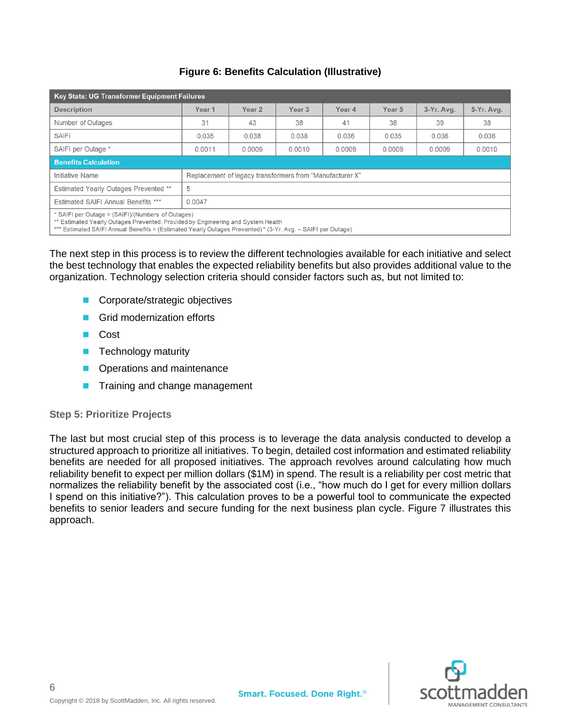# **Figure 6: Benefits Calculation (Illustrative)**

| Key Stats: UG Transformer Equipment Failures                                                                                                                                                                                                          |                                                          |        |                             |        |                   |            |            |  |  |
|-------------------------------------------------------------------------------------------------------------------------------------------------------------------------------------------------------------------------------------------------------|----------------------------------------------------------|--------|-----------------------------|--------|-------------------|------------|------------|--|--|
| <b>Description</b>                                                                                                                                                                                                                                    | Year <sub>1</sub>                                        | Year 2 | Year <sub>3</sub><br>Year 4 |        | Year <sub>5</sub> | 3-Yr. Avg. | 5-Yr. Avg. |  |  |
| Number of Outages                                                                                                                                                                                                                                     | 31                                                       | 43     | 38                          | 41     | 38                | 39         | 38         |  |  |
| <b>SAIFI</b>                                                                                                                                                                                                                                          | 0.035                                                    | 0.038  | 0.038                       | 0.036  | 0.035             | 0.036      | 0.036      |  |  |
| SAIFI per Outage *                                                                                                                                                                                                                                    | 0.0011                                                   | 0.0009 | 0.0010                      | 0.0009 | 0.0009            | 0.0009     | 0.0010     |  |  |
| <b>Benefits Calculation</b>                                                                                                                                                                                                                           |                                                          |        |                             |        |                   |            |            |  |  |
| Initiative Name                                                                                                                                                                                                                                       | Replacement of legacy transformers from "Manufacturer X" |        |                             |        |                   |            |            |  |  |
| Estimated Yearly Outages Prevented **                                                                                                                                                                                                                 | 5                                                        |        |                             |        |                   |            |            |  |  |
| Estimated SAIFI Annual Benefits ***<br>0.0047                                                                                                                                                                                                         |                                                          |        |                             |        |                   |            |            |  |  |
| * SAIFI per Outage = (SAIFI)/(Numbers of Outages)<br>** Estimated Yearly Outages Prevented: Provided by Engineering and System Health<br>*** Estimated SAIFI Annual Benefits = (Estimated Yearly Outages Prevented) * (3-Yr. Avg. – SAIFI per Outage) |                                                          |        |                             |        |                   |            |            |  |  |

The next step in this process is to review the different technologies available for each initiative and select the best technology that enables the expected reliability benefits but also provides additional value to the organization. Technology selection criteria should consider factors such as, but not limited to:

- Corporate/strategic objectives
- **Grid modernization efforts**
- Cost
- **Technology maturity**
- **Operations and maintenance**
- **Training and change management**

#### **Step 5: Prioritize Projects**

The last but most crucial step of this process is to leverage the data analysis conducted to develop a structured approach to prioritize all initiatives. To begin, detailed cost information and estimated reliability benefits are needed for all proposed initiatives. The approach revolves around calculating how much reliability benefit to expect per million dollars (\$1M) in spend. The result is a reliability per cost metric that normalizes the reliability benefit by the associated cost (i.e., "how much do I get for every million dollars I spend on this initiative?"). This calculation proves to be a powerful tool to communicate the expected benefits to senior leaders and secure funding for the next business plan cycle. Figure 7 illustrates this approach.

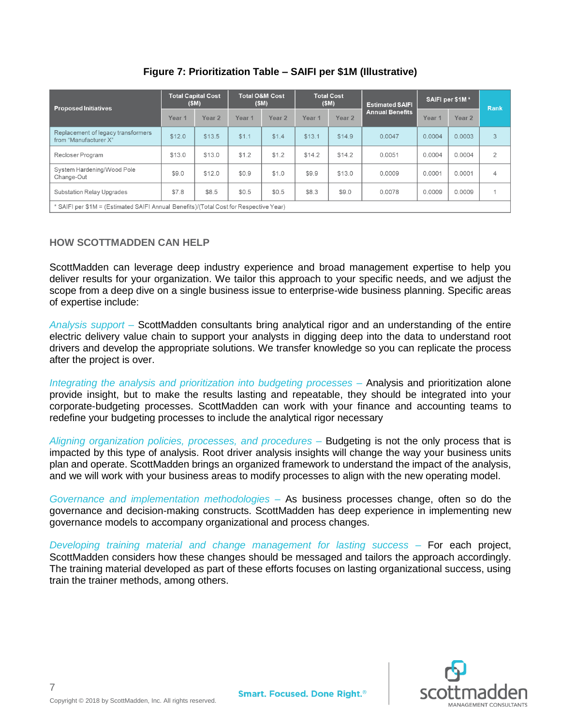| <b>Proposed Initiatives</b>                                                           | <b>Total Capital Cost</b><br>(SM) |        | <b>Total O&amp;M Cost</b><br>(SM) |                   | <b>Total Cost</b><br>(SM) |                   | <b>Estimated SAIFI</b> | SAIFI per \$1M*   |        | Rank           |
|---------------------------------------------------------------------------------------|-----------------------------------|--------|-----------------------------------|-------------------|---------------------------|-------------------|------------------------|-------------------|--------|----------------|
|                                                                                       | Year 1                            | Year 2 | Year <sub>1</sub>                 | Year <sub>2</sub> | Year 1                    | Year <sub>2</sub> | <b>Annual Benefits</b> | Year <sub>1</sub> | Year 2 |                |
| Replacement of legacy transformers<br>from "Manufacturer X"                           | \$12.0                            | \$13.5 | \$1.1                             | \$1.4             | \$13.1                    | \$14.9            | 0.0047                 | 0.0004            | 0.0003 | 3              |
| Recloser Program                                                                      | \$13.0                            | \$13.0 | \$1.2                             | \$1.2             | \$14.2                    | \$14.2            | 0.0051                 | 0.0004            | 0.0004 | $\overline{2}$ |
| System Hardening/Wood Pole<br>Change-Out                                              | \$9.0                             | \$12.0 | \$0.9                             | \$1.0             | \$9.9                     | \$13.0            | 0.0009                 | 0.0001            | 0.0001 | 4              |
| Substation Relay Upgrades                                                             | \$7.8                             | \$8.5  | \$0.5                             | \$0.5             | \$8.3                     | \$9.0             | 0.0078                 | 0.0009            | 0.0009 |                |
| * SAIFI per \$1M = (Estimated SAIFI Annual Benefits)/(Total Cost for Respective Year) |                                   |        |                                   |                   |                           |                   |                        |                   |        |                |

**Figure 7: Prioritization Table – SAIFI per \$1M (Illustrative)**

# **HOW SCOTTMADDEN CAN HELP**

ScottMadden can leverage deep industry experience and broad management expertise to help you deliver results for your organization. We tailor this approach to your specific needs, and we adjust the scope from a deep dive on a single business issue to enterprise-wide business planning. Specific areas of expertise include:

*Analysis support* – ScottMadden consultants bring analytical rigor and an understanding of the entire electric delivery value chain to support your analysts in digging deep into the data to understand root drivers and develop the appropriate solutions. We transfer knowledge so you can replicate the process after the project is over.

*Integrating the analysis and prioritization into budgeting processes* – Analysis and prioritization alone provide insight, but to make the results lasting and repeatable, they should be integrated into your corporate-budgeting processes. ScottMadden can work with your finance and accounting teams to redefine your budgeting processes to include the analytical rigor necessary

*Aligning organization policies, processes, and procedures –* Budgeting is not the only process that is impacted by this type of analysis. Root driver analysis insights will change the way your business units plan and operate. ScottMadden brings an organized framework to understand the impact of the analysis, and we will work with your business areas to modify processes to align with the new operating model.

*Governance and implementation methodologies –* As business processes change, often so do the governance and decision-making constructs. ScottMadden has deep experience in implementing new governance models to accompany organizational and process changes.

*Developing training material and change management for lasting success –* For each project, ScottMadden considers how these changes should be messaged and tailors the approach accordingly. The training material developed as part of these efforts focuses on lasting organizational success, using train the trainer methods, among others.